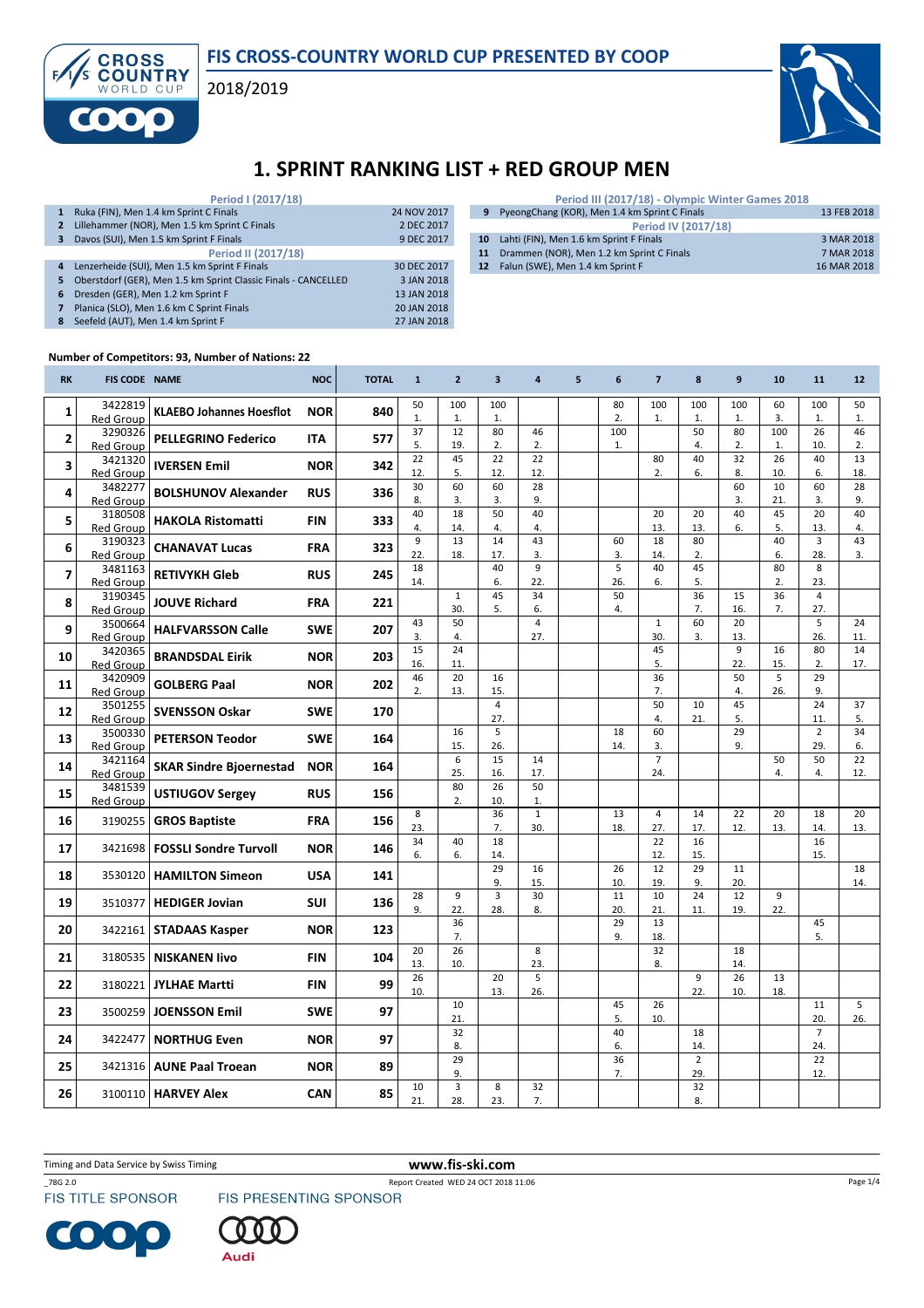

**COUNTRY** 2018/2019

**CROSS** 

f



### 1. SPRINT RANKING LIST + RED GROUP MEN

|              | Period I (2017/18)                                             |             |
|--------------|----------------------------------------------------------------|-------------|
| $\mathbf{1}$ | Ruka (FIN), Men 1.4 km Sprint C Finals                         | 24 NOV 2017 |
| $\mathbf{2}$ | Lillehammer (NOR), Men 1.5 km Sprint C Finals                  | 2 DEC 2017  |
| 3            | Davos (SUI), Men 1.5 km Sprint F Finals                        | 9 DEC 2017  |
|              | Period II (2017/18)                                            |             |
| 4            | Lenzerheide (SUI), Men 1.5 km Sprint F Finals                  | 30 DEC 2017 |
| 5            | Oberstdorf (GER), Men 1.5 km Sprint Classic Finals - CANCELLED | 3 JAN 2018  |
| 6            | Dresden (GER), Men 1.2 km Sprint F                             | 13 JAN 2018 |
| 7            | Planica (SLO), Men 1.6 km C Sprint Finals                      | 20 JAN 2018 |
| 8            | Seefeld (AUT), Men 1.4 km Sprint F                             | 27 JAN 2018 |

|                 | Period III (2017/18) - Olympic Winter Games 2018 |             |
|-----------------|--------------------------------------------------|-------------|
|                 | PyeongChang (KOR), Men 1.4 km Sprint C Finals    | 13 FEB 2018 |
|                 | <b>Period IV (2017/18)</b>                       |             |
| 10 <sup>7</sup> | Lahti (FIN), Men 1.6 km Sprint F Finals          | 3 MAR 2018  |
| <b>11</b>       | Drammen (NOR), Men 1.2 km Sprint C Finals        | 7 MAR 2018  |
| 12 <sub>7</sub> | Falun (SWE), Men 1.4 km Sprint F                 | 16 MAR 2018 |

### Number of Competitors: 93, Number of Nations: 22

| <b>RK</b>               | <b>FIS CODE NAME</b>        |                                 | <b>NOC</b> | <b>TOTAL</b> | $\mathbf{1}$ | $\overline{2}$      | $\overline{\mathbf{3}}$ | 4                       | 5 | 6         | $\overline{7}$        | 8                     | 9         | 10                     | 11                    | 12        |
|-------------------------|-----------------------------|---------------------------------|------------|--------------|--------------|---------------------|-------------------------|-------------------------|---|-----------|-----------------------|-----------------------|-----------|------------------------|-----------------------|-----------|
| 1                       | 3422819<br><b>Red Group</b> | <b>KLAEBO Johannes Hoesflot</b> | <b>NOR</b> | 840          | 50<br>1.     | 100<br>1.           | 100<br>1.               |                         |   | 80<br>2.  | 100<br>1.             | 100<br>1.             | 100<br>1. | 60<br>3.               | 100<br>1.             | 50<br>1.  |
| $\mathbf{2}$            | 3290326                     | <b>PELLEGRINO Federico</b>      | <b>ITA</b> | 577          | 37           | 12                  | 80                      | 46                      |   | 100       |                       | 50<br>4.              | 80        | 100                    | 26                    | 46        |
| 3                       | <b>Red Group</b><br>3421320 | <b>IVERSEN Emil</b>             | <b>NOR</b> | 342          | 5.<br>22     | 19.<br>45           | 2.<br>22                | 2.<br>22                |   | 1.        | 80                    | 40                    | 2.<br>32  | 1.<br>$\overline{26}$  | 10.<br>40             | 2.<br>13  |
|                         | <b>Red Group</b><br>3482277 |                                 |            |              | 12.<br>30    | 5.<br>60            | 12.<br>60               | 12.<br>28               |   |           | 2.                    | 6.                    | 8.<br>60  | 10.<br>10              | 6.<br>60              | 18.<br>28 |
| 4                       | <b>Red Group</b><br>3180508 | <b>BOLSHUNOV Alexander</b>      | <b>RUS</b> | 336          | 8.<br>40     | 3.<br>18            | 3.<br>50                | 9.<br>40                |   |           | 20                    | 20                    | 3.<br>40  | 21.<br>45              | 3.<br>20              | 9.<br>40  |
| 5                       | <b>Red Group</b>            | <b>HAKOLA Ristomatti</b>        | <b>FIN</b> | 333          | 4.           | 14.                 | 4.                      | 4.                      |   |           | 13.                   | 13.                   | 6.        | 5.                     | 13.                   | 4.        |
| 6                       | 3190323<br><b>Red Group</b> | <b>CHANAVAT Lucas</b>           | <b>FRA</b> | 323          | 9<br>22.     | 13<br>18.           | 14<br>17.               | 43<br>3.                |   | 60<br>3.  | 18<br>14.             | 80<br>2.              |           | 40<br>6.               | 3<br>28.              | 43<br>3.  |
| $\overline{\mathbf{z}}$ | 3481163<br>Red Group        | <b>RETIVYKH Gleb</b>            | <b>RUS</b> | 245          | 18<br>14.    |                     | 40<br>6.                | 9<br>22.                |   | 5<br>26.  | 40<br>6.              | 45<br>5.              |           | 80<br>$\overline{2}$ . | 8<br>23.              |           |
| 8                       | 3190345<br><b>Red Group</b> | <b>JOUVE Richard</b>            | <b>FRA</b> | 221          |              | $\mathbf{1}$<br>30. | 45<br>5.                | 34<br>6.                |   | 50<br>4.  |                       | 36<br>7.              | 15<br>16. | 36<br>7.               | 4<br>27.              |           |
| 9                       | 3500664                     | <b>HALFVARSSON Calle</b>        | <b>SWE</b> | 207          | 43           | 50                  |                         | $\overline{\mathbf{4}}$ |   |           | $\mathbf{1}$          | 60                    | 20        |                        | 5                     | 24        |
| 10                      | <b>Red Group</b><br>3420365 | <b>BRANDSDAL Eirik</b>          | <b>NOR</b> | 203          | 3.<br>15     | 4.<br>24            |                         | 27.                     |   |           | 30.<br>45             | 3.                    | 13.<br>9  | 16                     | 26.<br>80             | 11.<br>14 |
|                         | <b>Red Group</b><br>3420909 |                                 |            |              | 16.<br>46    | 11.<br>20           | 16                      |                         |   |           | 5.<br>36              |                       | 22.<br>50 | 15.<br>5               | 2.<br>29              | 17.       |
| 11                      | <b>Red Group</b><br>3501255 | <b>GOLBERG Paal</b>             | <b>NOR</b> | 202          | 2.           | 13.                 | 15.<br>$\overline{4}$   |                         |   |           | 7.<br>50              | 10                    | 4.<br>45  | 26.                    | 9.<br>24              | 37        |
| 12                      | <b>Red Group</b>            | <b>SVENSSON Oskar</b>           | <b>SWE</b> | 170          |              |                     | 27.                     |                         |   |           | 4.                    | 21.                   | 5.        |                        | 11.                   | 5.        |
| 13                      | 3500330<br><b>Red Group</b> | <b>PETERSON Teodor</b>          | <b>SWE</b> | 164          |              | 16<br>15.           | 5<br>26.                |                         |   | 18<br>14. | 60<br>3.              |                       | 29<br>9.  |                        | $\overline{2}$<br>29. | 34<br>6.  |
| 14                      | 3421164<br><b>Red Group</b> | <b>SKAR Sindre Bioernestad</b>  | <b>NOR</b> | 164          |              | 6<br>25.            | 15<br>16.               | 14<br>17.               |   |           | $\overline{7}$<br>24. |                       |           | 50<br>4.               | 50<br>4.              | 22<br>12. |
| 15                      | 3481539<br><b>Red Group</b> | <b>USTIUGOV Sergey</b>          | <b>RUS</b> | 156          |              | 80<br>2.            | 26<br>10.               | 50<br>1.                |   |           |                       |                       |           |                        |                       |           |
| 16                      | 3190255                     | <b>GROS Baptiste</b>            | <b>FRA</b> | 156          | 8            |                     | 36                      | $\mathbf{1}$            |   | 13        | $\overline{4}$        | 14                    | 22        | 20                     | 18                    | 20        |
| 17                      | 3421698                     | <b>FOSSLI Sondre Turvoll</b>    | <b>NOR</b> | 146          | 23.<br>34    | 40                  | 7.<br>18                | 30.                     |   | 18.       | 27.<br>22             | 17.<br>16             | 12.       | 13.                    | 14.<br>16             | 13.       |
|                         |                             |                                 |            |              | 6.           | 6.                  | 14.<br>29               | 16                      |   | 26        | 12.<br>12             | 15.<br>29             | 11        |                        | 15.                   | 18        |
| 18                      | 3530120                     | <b>HAMILTON Simeon</b>          | <b>USA</b> | 141          | 28           | 9                   | 9.<br>$\overline{3}$    | 15.<br>30               |   | 10.<br>11 | 19.<br>10             | 9.<br>24              | 20.<br>12 | 9                      |                       | 14.       |
| 19                      | 3510377                     | <b>HEDIGER Jovian</b>           | SUI        | 136          | 9.           | 22.<br>36           | 28.                     | 8.                      |   | 20.<br>29 | 21.<br>13             | 11.                   | 19.       | 22.                    | 45                    |           |
| 20                      |                             | 3422161   STADAAS Kasper        | <b>NOR</b> | 123          |              | 7.                  |                         |                         |   | 9.        | 18.                   |                       |           |                        | 5.                    |           |
| 21                      | 3180535                     | <b>NISKANEN livo</b>            | <b>FIN</b> | 104          | 20<br>13.    | 26<br>10.           |                         | 8<br>23.                |   |           | 32<br>8.              |                       | 18<br>14. |                        |                       |           |
| 22                      | 3180221                     | <b>JYLHAE Martti</b>            | FIN        | 99           | 26<br>10.    |                     | 20<br>13.               | 5<br>26.                |   |           |                       | 9<br>22.              | 26<br>10. | 13<br>18.              |                       |           |
| 23                      | 3500259                     | <b>JOENSSON Emil</b>            | <b>SWE</b> | 97           |              | 10<br>21.           |                         |                         |   | 45<br>5.  | 26<br>10.             |                       |           |                        | 11<br>20.             | 5<br>26.  |
| 24                      | 3422477                     | <b>NORTHUG Even</b>             | <b>NOR</b> | 97           |              | 32                  |                         |                         |   | 40        |                       | 18                    |           |                        | $\overline{7}$        |           |
| 25                      | 3421316                     | <b>AUNE Paal Troean</b>         | <b>NOR</b> | 89           |              | 8.<br>29            |                         |                         |   | 6.<br>36  |                       | 14.<br>$\overline{2}$ |           |                        | 24.<br>22             |           |
|                         |                             |                                 |            |              | 10           | 9.<br>3             | 8                       | 32                      |   | 7.        |                       | 29.<br>32             |           |                        | 12.                   |           |
| 26                      |                             | 3100110   HARVEY Alex           | <b>CAN</b> | 85           | 21.          | 28.                 | 23.                     | 7.                      |   |           |                       | 8.                    |           |                        |                       |           |

Timing and Data Service by Swiss Timing WWW.fis-ski.com

\_78G 2.0 Report Created WED 24 OCT 2018 11:06<br>FIS TITLE SPONSOR FIS PRESENTING SPONSOR



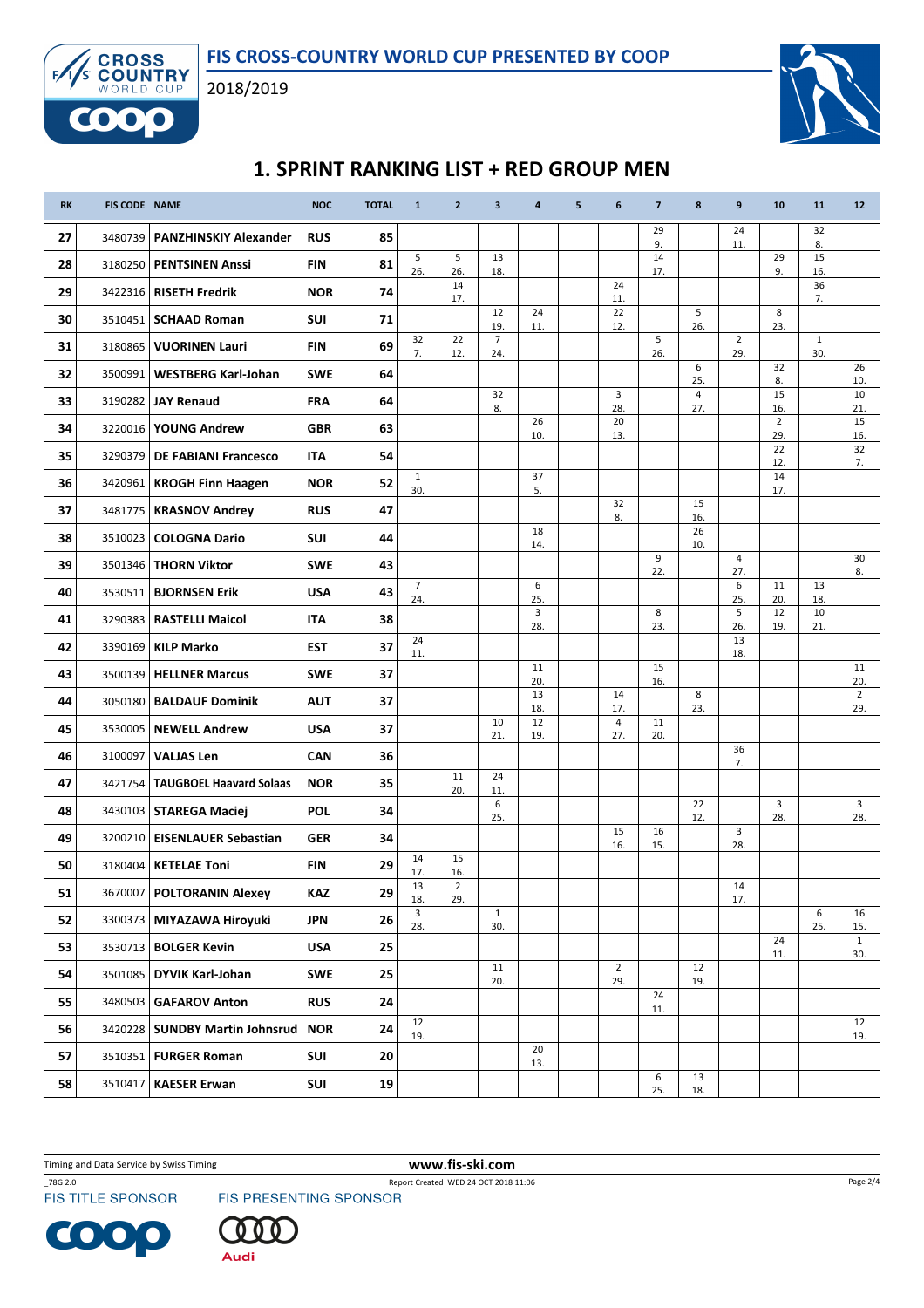



# 1. SPRINT RANKING LIST + RED GROUP MEN

| <b>RK</b> | <b>FIS CODE NAME</b> |                                | <b>NOC</b> | <b>TOTAL</b> | $\mathbf{1}$          | $\overline{2}$        | 3                     | 4         | 5 | 6                     | $\overline{7}$ | 8                 | 9                     | 10                    | 11                  | 12                    |
|-----------|----------------------|--------------------------------|------------|--------------|-----------------------|-----------------------|-----------------------|-----------|---|-----------------------|----------------|-------------------|-----------------------|-----------------------|---------------------|-----------------------|
| 27        | 3480739              | <b>PANZHINSKIY Alexander</b>   | <b>RUS</b> | 85           |                       |                       |                       |           |   |                       | 29<br>9.       |                   | 24<br>11.             |                       | 32<br>8.            |                       |
| 28        |                      | 3180250 PENTSINEN Anssi        | <b>FIN</b> | 81           | 5<br>26.              | 5<br>26.              | 13<br>18.             |           |   |                       | 14<br>17.      |                   |                       | 29<br>9.              | 15<br>16.           |                       |
| 29        | 3422316              | <b>RISETH Fredrik</b>          | <b>NOR</b> | 74           |                       | 14<br>17.             |                       |           |   | 24<br>11.             |                |                   |                       |                       | 36<br>7.            |                       |
| 30        | 3510451              | <b>SCHAAD Roman</b>            | SUI        | 71           |                       |                       | 12<br>19.             | 24<br>11. |   | 22<br>12.             |                | 5<br>26.          |                       | 8<br>23.              |                     |                       |
| 31        | 3180865              | <b>VUORINEN Lauri</b>          | <b>FIN</b> | 69           | 32<br>7.              | 22<br>12.             | $\overline{7}$<br>24. |           |   |                       | 5<br>26.       |                   | $\overline{2}$<br>29. |                       | $\mathbf{1}$<br>30. |                       |
| 32        | 3500991              | <b>WESTBERG Karl-Johan</b>     | <b>SWE</b> | 64           |                       |                       |                       |           |   |                       |                | 6<br>25.          |                       | 32<br>8.              |                     | 26<br>10.             |
| 33        | 3190282              | <b>JAY Renaud</b>              | <b>FRA</b> | 64           |                       |                       | 32<br>8.              |           |   | 3<br>28.              |                | $\sqrt{4}$<br>27. |                       | 15<br>16.             |                     | 10<br>21.             |
| 34        |                      | 3220016   YOUNG Andrew         | <b>GBR</b> | 63           |                       |                       |                       | 26<br>10. |   | 20<br>13.             |                |                   |                       | $\overline{2}$<br>29. |                     | 15<br>16.             |
| 35        | 3290379              | <b>DE FABIANI Francesco</b>    | <b>ITA</b> | 54           |                       |                       |                       |           |   |                       |                |                   |                       | 22<br>12.             |                     | 32<br>7.              |
| 36        | 3420961              | <b>KROGH Finn Haagen</b>       | <b>NOR</b> | 52           | $\mathbf{1}$<br>30.   |                       |                       | 37<br>5.  |   |                       |                |                   |                       | 14<br>17.             |                     |                       |
| 37        | 3481775              | <b>KRASNOV Andrey</b>          | <b>RUS</b> | 47           |                       |                       |                       |           |   | 32<br>8.              |                | 15<br>16.         |                       |                       |                     |                       |
| 38        | 3510023              | <b>COLOGNA Dario</b>           | SUI        | 44           |                       |                       |                       | 18<br>14. |   |                       |                | 26<br>10.         |                       |                       |                     |                       |
| 39        |                      | 3501346   THORN Viktor         | <b>SWE</b> | 43           |                       |                       |                       |           |   |                       | 9<br>22.       |                   | $\overline{4}$<br>27. |                       |                     | 30<br>8.              |
| 40        | 3530511              | <b>BJORNSEN Erik</b>           | <b>USA</b> | 43           | $\overline{7}$<br>24. |                       |                       | 6<br>25.  |   |                       |                |                   | 6<br>25.              | 11<br>20.             | 13<br>18.           |                       |
| 41        | 3290383              | <b>RASTELLI Maicol</b>         | <b>ITA</b> | 38           |                       |                       |                       | 3<br>28.  |   |                       | 8<br>23.       |                   | 5<br>26.              | 12<br>19.             | 10<br>21.           |                       |
| 42        | 3390169              | <b>KILP Marko</b>              | <b>EST</b> | 37           | 24<br>11.             |                       |                       |           |   |                       |                |                   | 13<br>18.             |                       |                     |                       |
| 43        | 3500139              | <b>HELLNER Marcus</b>          | <b>SWE</b> | 37           |                       |                       |                       | 11<br>20. |   |                       | 15<br>16.      |                   |                       |                       |                     | 11<br>20.             |
| 44        | 3050180              | <b>BALDAUF Dominik</b>         | <b>AUT</b> | 37           |                       |                       |                       | 13<br>18. |   | 14<br>17.             |                | 8<br>23.          |                       |                       |                     | $\overline{2}$<br>29. |
| 45        | 3530005              | <b>NEWELL Andrew</b>           | <b>USA</b> | 37           |                       |                       | 10<br>21.             | 12<br>19. |   | $\overline{4}$<br>27. | 11<br>20.      |                   |                       |                       |                     |                       |
| 46        | 3100097              | <b>VALJAS Len</b>              | <b>CAN</b> | 36           |                       |                       |                       |           |   |                       |                |                   | 36<br>7.              |                       |                     |                       |
| 47        | 3421754              | <b>TAUGBOEL Haavard Solaas</b> | <b>NOR</b> | 35           |                       | 11<br>20.             | 24<br>11.             |           |   |                       |                |                   |                       |                       |                     |                       |
| 48        |                      | 3430103   STAREGA Maciej       | <b>POL</b> | 34           |                       |                       | 6<br>25.              |           |   |                       |                | 22<br>12.         |                       | 3<br>28.              |                     | $\mathbf{3}$<br>28.   |
| 49        |                      | 3200210   EISENLAUER Sebastian | GER        | 34           |                       |                       |                       |           |   | 15<br>16.             | 16<br>15.      |                   | 3<br>28.              |                       |                     |                       |
| 50        |                      | 3180404   KETELAE Toni         | <b>FIN</b> | 29           | 14<br>17.             | 15<br>16.             |                       |           |   |                       |                |                   |                       |                       |                     |                       |
| 51        |                      | 3670007 POLTORANIN Alexey      | <b>KAZ</b> | 29           | 13<br>18.             | $\overline{2}$<br>29. |                       |           |   |                       |                |                   | 14<br>17.             |                       |                     |                       |
| 52        |                      | 3300373   MIYAZAWA Hiroyuki    | <b>JPN</b> | 26           | 3<br>28.              |                       | $\mathbf{1}$<br>30.   |           |   |                       |                |                   |                       |                       | 6<br>25.            | 16<br>15.             |
| 53        |                      | 3530713   <b>BOLGER Kevin</b>  | <b>USA</b> | 25           |                       |                       |                       |           |   |                       |                |                   |                       | 24<br>11.             |                     | $\mathbf{1}$<br>30.   |
| 54        | 3501085              | <b>DYVIK Karl-Johan</b>        | <b>SWE</b> | 25           |                       |                       | 11<br>20.             |           |   | $\overline{2}$<br>29. |                | 12<br>19.         |                       |                       |                     |                       |
| 55        | 3480503              | <b>GAFAROV Anton</b>           | <b>RUS</b> | 24           |                       |                       |                       |           |   |                       | 24<br>11.      |                   |                       |                       |                     |                       |
| 56        | 3420228              | <b>SUNDBY Martin Johnsrud</b>  | <b>NOR</b> | 24           | 12<br>19.             |                       |                       |           |   |                       |                |                   |                       |                       |                     | 12<br>19.             |
| 57        |                      | 3510351   FURGER Roman         | SUI        | 20           |                       |                       |                       | 20<br>13. |   |                       |                |                   |                       |                       |                     |                       |
| 58        | 3510417              | <b>KAESER Erwan</b>            | SUI        | 19           |                       |                       |                       |           |   |                       | 6<br>25.       | 13<br>18.         |                       |                       |                     |                       |

Timing and Data Service by Swiss Timing WWW.fis-ski.com

\_78G 2.0 Report Created WED 24 OCT 2018 11:06<br>FIS TITLE SPONSOR FIS PRESENTING SPONSOR





Page 2/4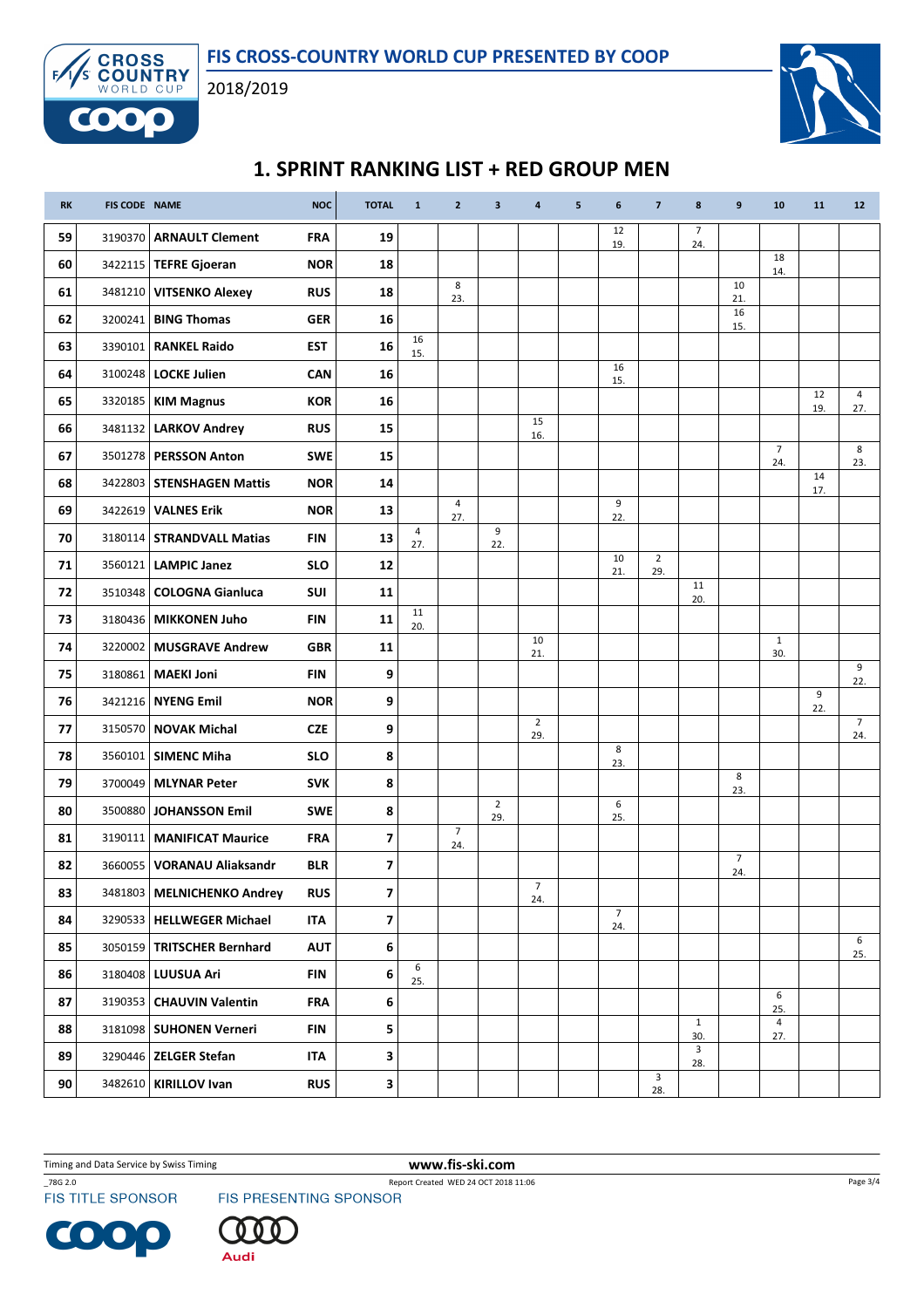



# 1. SPRINT RANKING LIST + RED GROUP MEN

| <b>RK</b> | FIS CODE NAME |                             | <b>NOC</b> | <b>TOTAL</b> | $\mathbf{1}$ | $\overline{2}$        | 3                     | 4                     | 5 | 6                     | $\overline{7}$        | 8                     | 9                     | 10                    | 11        | 12                    |
|-----------|---------------|-----------------------------|------------|--------------|--------------|-----------------------|-----------------------|-----------------------|---|-----------------------|-----------------------|-----------------------|-----------------------|-----------------------|-----------|-----------------------|
| 59        | 3190370       | <b>ARNAULT Clement</b>      | <b>FRA</b> | 19           |              |                       |                       |                       |   | 12<br>19.             |                       | $\overline{7}$<br>24. |                       |                       |           |                       |
| 60        |               | 3422115   TEFRE Gjoeran     | <b>NOR</b> | 18           |              |                       |                       |                       |   |                       |                       |                       |                       | 18<br>14.             |           |                       |
| 61        |               | 3481210   VITSENKO Alexey   | <b>RUS</b> | 18           |              | 8<br>23.              |                       |                       |   |                       |                       |                       | 10<br>21.             |                       |           |                       |
| 62        | 3200241       | <b>BING Thomas</b>          | <b>GER</b> | 16           |              |                       |                       |                       |   |                       |                       |                       | 16<br>15.             |                       |           |                       |
| 63        | 3390101       | <b>RANKEL Raido</b>         | <b>EST</b> | 16           | 16<br>15.    |                       |                       |                       |   |                       |                       |                       |                       |                       |           |                       |
| 64        |               | 3100248   LOCKE Julien      | <b>CAN</b> | 16           |              |                       |                       |                       |   | 16<br>15.             |                       |                       |                       |                       |           |                       |
| 65        | 3320185       | <b>KIM Magnus</b>           | <b>KOR</b> | 16           |              |                       |                       |                       |   |                       |                       |                       |                       |                       | 12<br>19. | $\overline{4}$<br>27. |
| 66        |               | 3481132   LARKOV Andrey     | <b>RUS</b> | 15           |              |                       |                       | 15<br>16.             |   |                       |                       |                       |                       |                       |           |                       |
| 67        |               | 3501278   PERSSON Anton     | <b>SWE</b> | 15           |              |                       |                       |                       |   |                       |                       |                       |                       | $\overline{7}$<br>24. |           | 8<br>23.              |
| 68        |               | 3422803   STENSHAGEN Mattis | <b>NOR</b> | 14           |              |                       |                       |                       |   |                       |                       |                       |                       |                       | 14<br>17. |                       |
| 69        | 3422619       | <b>VALNES Erik</b>          | <b>NOR</b> | 13           |              | 4<br>27.              |                       |                       |   | 9<br>22.              |                       |                       |                       |                       |           |                       |
| 70        |               | 3180114   STRANDVALL Matias | <b>FIN</b> | 13           | 4<br>27.     |                       | 9<br>22.              |                       |   |                       |                       |                       |                       |                       |           |                       |
| 71        |               | 3560121   LAMPIC Janez      | <b>SLO</b> | 12           |              |                       |                       |                       |   | 10<br>21.             | $\overline{2}$<br>29. |                       |                       |                       |           |                       |
| 72        | 3510348       | <b>COLOGNA Gianluca</b>     | <b>SUI</b> | 11           |              |                       |                       |                       |   |                       |                       | 11<br>20.             |                       |                       |           |                       |
| 73        |               | 3180436   MIKKONEN Juho     | <b>FIN</b> | 11           | 11<br>20.    |                       |                       |                       |   |                       |                       |                       |                       |                       |           |                       |
| 74        | 3220002       | <b>MUSGRAVE Andrew</b>      | <b>GBR</b> | 11           |              |                       |                       | 10<br>21.             |   |                       |                       |                       |                       | $\mathbf{1}$<br>30.   |           |                       |
| 75        | 3180861       | <b>MAEKI Joni</b>           | <b>FIN</b> | 9            |              |                       |                       |                       |   |                       |                       |                       |                       |                       |           | 9<br>22.              |
| 76        | 3421216       | <b>NYENG Emil</b>           | <b>NOR</b> | 9            |              |                       |                       |                       |   |                       |                       |                       |                       |                       | 9<br>22.  |                       |
| 77        |               | 3150570 NOVAK Michal        | <b>CZE</b> | 9            |              |                       |                       | $\mathbf 2$<br>29.    |   |                       |                       |                       |                       |                       |           | $\overline{7}$<br>24. |
| 78        | 3560101       | <b>SIMENC Miha</b>          | <b>SLO</b> | 8            |              |                       |                       |                       |   | 8<br>23.              |                       |                       |                       |                       |           |                       |
| 79        | 3700049       | <b>MLYNAR Peter</b>         | <b>SVK</b> | 8            |              |                       |                       |                       |   |                       |                       |                       | 8<br>23.              |                       |           |                       |
| 80        | 3500880       | JOHANSSON Emil              | <b>SWE</b> | 8            |              |                       | $\overline{2}$<br>29. |                       |   | 6<br>25.              |                       |                       |                       |                       |           |                       |
| 81        | 3190111       | <b>MANIFICAT Maurice</b>    | <b>FRA</b> | 7            |              | $\overline{7}$<br>24. |                       |                       |   |                       |                       |                       |                       |                       |           |                       |
| 82        | 3660055       | <b>VORANAU Aliaksandr</b>   | <b>BLR</b> | 7            |              |                       |                       |                       |   |                       |                       |                       | $\overline{7}$<br>24. |                       |           |                       |
| 83        |               | 3481803 MELNICHENKO Andrey  | <b>RUS</b> | 7            |              |                       |                       | $\overline{7}$<br>24. |   |                       |                       |                       |                       |                       |           |                       |
| 84        |               | 3290533   HELLWEGER Michael | <b>ITA</b> | 7            |              |                       |                       |                       |   | $\overline{7}$<br>24. |                       |                       |                       |                       |           |                       |
| 85        |               | 3050159 TRITSCHER Bernhard  | <b>AUT</b> | 6            |              |                       |                       |                       |   |                       |                       |                       |                       |                       |           | 6<br>25.              |
| 86        |               | 3180408   LUUSUA Ari        | <b>FIN</b> | 6            | 6<br>25.     |                       |                       |                       |   |                       |                       |                       |                       |                       |           |                       |
| 87        |               | 3190353   CHAUVIN Valentin  | <b>FRA</b> | 6            |              |                       |                       |                       |   |                       |                       |                       |                       | 6<br>25.              |           |                       |
| 88        |               | 3181098   SUHONEN Verneri   | <b>FIN</b> | 5            |              |                       |                       |                       |   |                       |                       | $\mathbf{1}$<br>30.   |                       | $\overline{4}$<br>27. |           |                       |
| 89        |               | 3290446   ZELGER Stefan     | <b>ITA</b> | 3            |              |                       |                       |                       |   |                       |                       | 3<br>28.              |                       |                       |           |                       |
| 90        | 3482610       | <b>KIRILLOV Ivan</b>        | <b>RUS</b> | 3            |              |                       |                       |                       |   |                       | 3<br>28.              |                       |                       |                       |           |                       |

Timing and Data Service by Swiss Timing WWW.fis-ski.com









Page 3/4